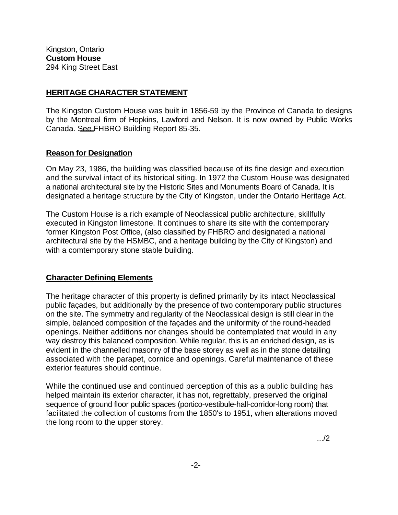## **HERITAGE CHARACTER STATEMENT**

The Kingston Custom House was built in 1856-59 by the Province of Canada to designs by the Montreal firm of Hopkins, Lawford and Nelson. It is now owned by Public Works Canada. See FHBRO Building Report 85-35.

## **Reason for Designation**

On May 23, 1986, the building was classified because of its fine design and execution and the survival intact of its historical siting. In 1972 the Custom House was designated a national architectural site by the Historic Sites and Monuments Board of Canada. It is designated a heritage structure by the City of Kingston, under the Ontario Heritage Act.

The Custom House is a rich example of Neoclassical public architecture, skillfully executed in Kingston limestone. It continues to share its site with the contemporary former Kingston Post Office, (also classified by FHBRO and designated a national architectural site by the HSMBC, and a heritage building by the City of Kingston) and with a comtemporary stone stable building.

## **Character Defining Elements**

The heritage character of this property is defined primarily by its intact Neoclassical public façades, but additionally by the presence of two contemporary public structures on the site. The symmetry and regularity of the Neoclassical design is still clear in the simple, balanced composition of the façades and the uniformity of the round-headed openings. Neither additions nor changes should be contemplated that would in any way destroy this balanced composition. While regular, this is an enriched design, as is evident in the channelled masonry of the base storey as well as in the stone detailing associated with the parapet, cornice and openings. Careful maintenance of these exterior features should continue.

While the continued use and continued perception of this as a public building has helped maintain its exterior character, it has not, regrettably, preserved the original sequence of ground floor public spaces (portico-vestibule-hall-corridor-long room) that facilitated the collection of customs from the 1850's to 1951, when alterations moved the long room to the upper storey.

.../2